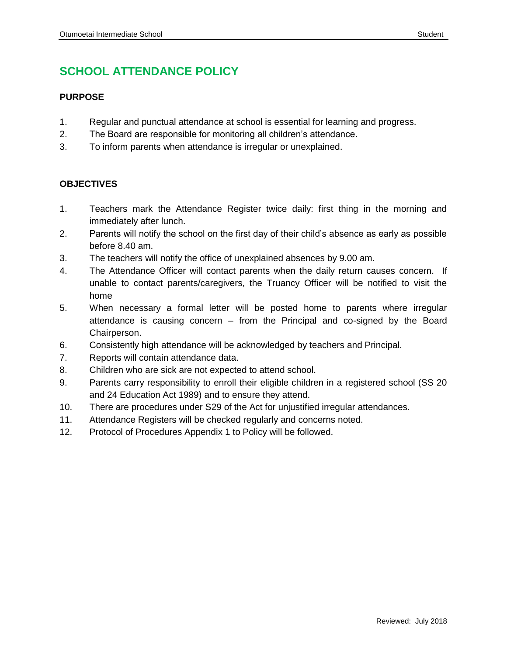# **SCHOOL ATTENDANCE POLICY**

## **PURPOSE**

- 1. Regular and punctual attendance at school is essential for learning and progress.
- 2. The Board are responsible for monitoring all children's attendance.
- 3. To inform parents when attendance is irregular or unexplained.

## **OBJECTIVES**

- 1. Teachers mark the Attendance Register twice daily: first thing in the morning and immediately after lunch.
- 2. Parents will notify the school on the first day of their child's absence as early as possible before 8.40 am.
- 3. The teachers will notify the office of unexplained absences by 9.00 am.
- 4. The Attendance Officer will contact parents when the daily return causes concern. If unable to contact parents/caregivers, the Truancy Officer will be notified to visit the home
- 5. When necessary a formal letter will be posted home to parents where irregular attendance is causing concern – from the Principal and co-signed by the Board Chairperson.
- 6. Consistently high attendance will be acknowledged by teachers and Principal.
- 7. Reports will contain attendance data.
- 8. Children who are sick are not expected to attend school.
- 9. Parents carry responsibility to enroll their eligible children in a registered school (SS 20 and 24 Education Act 1989) and to ensure they attend.
- 10. There are procedures under S29 of the Act for unjustified irregular attendances.
- 11. Attendance Registers will be checked regularly and concerns noted.
- 12. Protocol of Procedures Appendix 1 to Policy will be followed.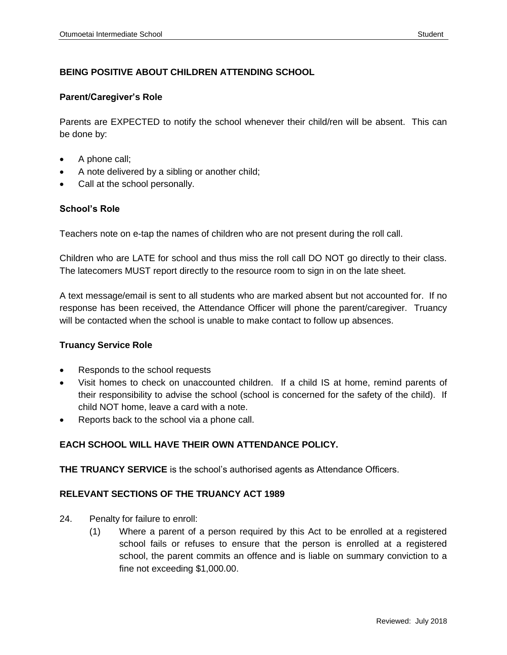## **BEING POSITIVE ABOUT CHILDREN ATTENDING SCHOOL**

#### **Parent/Caregiver's Role**

Parents are EXPECTED to notify the school whenever their child/ren will be absent. This can be done by:

- A phone call;
- A note delivered by a sibling or another child;
- Call at the school personally.

#### **School's Role**

Teachers note on e-tap the names of children who are not present during the roll call.

Children who are LATE for school and thus miss the roll call DO NOT go directly to their class. The latecomers MUST report directly to the resource room to sign in on the late sheet.

A text message/email is sent to all students who are marked absent but not accounted for. If no response has been received, the Attendance Officer will phone the parent/caregiver. Truancy will be contacted when the school is unable to make contact to follow up absences.

#### **Truancy Service Role**

- Responds to the school requests
- Visit homes to check on unaccounted children. If a child IS at home, remind parents of their responsibility to advise the school (school is concerned for the safety of the child). If child NOT home, leave a card with a note.
- Reports back to the school via a phone call.

## **EACH SCHOOL WILL HAVE THEIR OWN ATTENDANCE POLICY.**

**THE TRUANCY SERVICE** is the school's authorised agents as Attendance Officers.

#### **RELEVANT SECTIONS OF THE TRUANCY ACT 1989**

- 24. Penalty for failure to enroll:
	- (1) Where a parent of a person required by this Act to be enrolled at a registered school fails or refuses to ensure that the person is enrolled at a registered school, the parent commits an offence and is liable on summary conviction to a fine not exceeding \$1,000.00.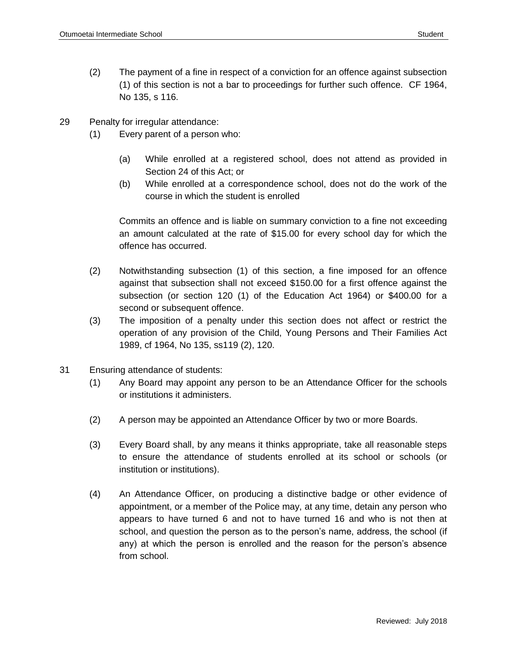- (2) The payment of a fine in respect of a conviction for an offence against subsection (1) of this section is not a bar to proceedings for further such offence. CF 1964, No 135, s 116.
- 29 Penalty for irregular attendance:
	- (1) Every parent of a person who:
		- (a) While enrolled at a registered school, does not attend as provided in Section 24 of this Act; or
		- (b) While enrolled at a correspondence school, does not do the work of the course in which the student is enrolled

Commits an offence and is liable on summary conviction to a fine not exceeding an amount calculated at the rate of \$15.00 for every school day for which the offence has occurred.

- (2) Notwithstanding subsection (1) of this section, a fine imposed for an offence against that subsection shall not exceed \$150.00 for a first offence against the subsection (or section 120 (1) of the Education Act 1964) or \$400.00 for a second or subsequent offence.
- (3) The imposition of a penalty under this section does not affect or restrict the operation of any provision of the Child, Young Persons and Their Families Act 1989, cf 1964, No 135, ss119 (2), 120.
- 31 Ensuring attendance of students:
	- (1) Any Board may appoint any person to be an Attendance Officer for the schools or institutions it administers.
	- (2) A person may be appointed an Attendance Officer by two or more Boards.
	- (3) Every Board shall, by any means it thinks appropriate, take all reasonable steps to ensure the attendance of students enrolled at its school or schools (or institution or institutions).
	- (4) An Attendance Officer, on producing a distinctive badge or other evidence of appointment, or a member of the Police may, at any time, detain any person who appears to have turned 6 and not to have turned 16 and who is not then at school, and question the person as to the person's name, address, the school (if any) at which the person is enrolled and the reason for the person's absence from school.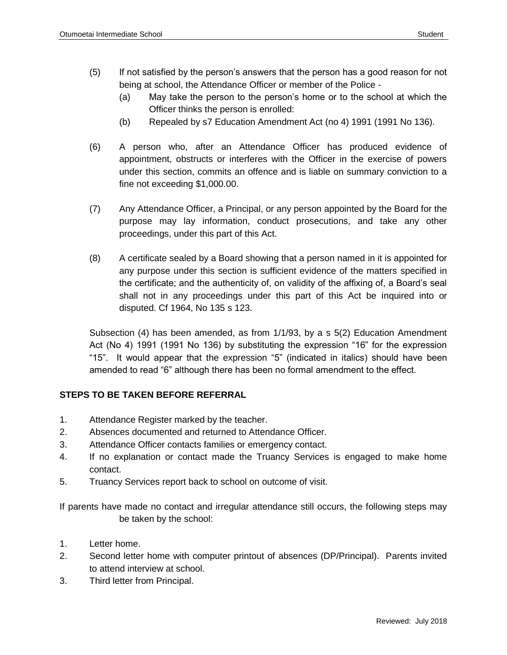- (5) If not satisfied by the person's answers that the person has a good reason for not being at school, the Attendance Officer or member of the Police -
	- (a) May take the person to the person's home or to the school at which the Officer thinks the person is enrolled:
	- (b) Repealed by s7 Education Amendment Act (no 4) 1991 (1991 No 136).
- (6) A person who, after an Attendance Officer has produced evidence of appointment, obstructs or interferes with the Officer in the exercise of powers under this section, commits an offence and is liable on summary conviction to a fine not exceeding \$1,000.00.
- (7) Any Attendance Officer, a Principal, or any person appointed by the Board for the purpose may lay information, conduct prosecutions, and take any other proceedings, under this part of this Act.
- (8) A certificate sealed by a Board showing that a person named in it is appointed for any purpose under this section is sufficient evidence of the matters specified in the certificate; and the authenticity of, on validity of the affixing of, a Board's seal shall not in any proceedings under this part of this Act be inquired into or disputed. Cf 1964, No 135 s 123.

Subsection (4) has been amended, as from 1/1/93, by a s 5(2) Education Amendment Act (No 4) 1991 (1991 No 136) by substituting the expression "16" for the expression "15". It would appear that the expression "5" (indicated in italics) should have been amended to read "6" although there has been no formal amendment to the effect.

## **STEPS TO BE TAKEN BEFORE REFERRAL**

- 1. Attendance Register marked by the teacher.
- 2. Absences documented and returned to Attendance Officer.
- 3. Attendance Officer contacts families or emergency contact.
- 4. If no explanation or contact made the Truancy Services is engaged to make home contact.
- 5. Truancy Services report back to school on outcome of visit.

If parents have made no contact and irregular attendance still occurs, the following steps may be taken by the school:

- 1. Letter home.
- 2. Second letter home with computer printout of absences (DP/Principal). Parents invited to attend interview at school.
- 3. Third letter from Principal.